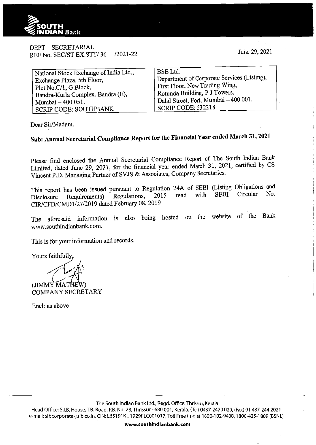

DEPT: SECRETARIAL REF No. SEC/ST EX.STT/36 /2021-22

June 29, 2021

| National Stock Exchange of India Ltd., | <b>BSE</b> Ltd.                             |
|----------------------------------------|---------------------------------------------|
| Exchange Plaza, 5th Floor,             | Department of Corporate Services (Listing), |
| Plot No.C/1, G Block,                  | First Floor, New Trading Wing,              |
| Bandra-Kurla Complex, Bandra (E),      | Rotunda Building, P J Towers,               |
| Mumbai – 400 051.                      | Dalal Street, Fort, Mumbai - 400 001.       |
| <b>SCRIP CODE: SOUTHBANK</b>           | SCRIP CODE: 532218                          |
|                                        |                                             |

Dear Sir/Madam,

# **Sub: Annual Secretarial Compliance Report for the Financial Year ended March 31, 2021**

Please find enclosed the Annual Secretarial Compliance Report of The South Indian Bank Limited, dated June 29, 2021, for the financial year ended March 31, 2021, certified by CS Vincent P.D, Managing Partner of SVJS & Associates, Company Secretaries.

This report has been issued pursuant to Regulation 24A of SEBI (Listing Obligations and Disclosure Requirements) Regulations, 2015 read with CIR/CFD/CMDl/27/2019 dated February 08,2019 SEBI Circular No.

The aforesaid information is also being hosted on the website of the Bank www.southindianbank.com.

This is for your information and records.

Yours faithfully,

(JIMMY MATHEW)<br>COMPANY SECRETARY

Encl: as above

The South Indian Bank Ltd., Regd. Office: Thrissur, Kerala

Head Office: S.I.B. House, T.B. Road, P.B. No: 28, Thrissur - 680 001, Kerala. (Tel) 0487-2420 020, (Fax) 91 487-244 2021 e-mail: sibcorporate@sib.co.in, CIN: L65191KL 1929PLC001017, Toll Free (India) 1800-102-9408, 1800-425-1809 (BSNL)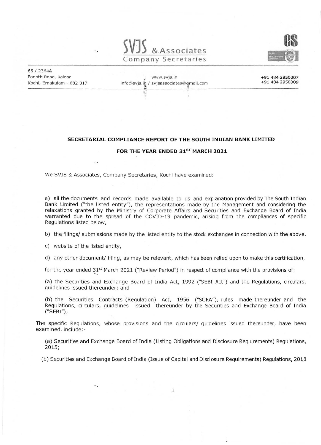



65 I 2364A Ponoth Road, Kaloor , www.svjs.in

Kochi, Ernakulam - 682 017 info@svjs.in / svjsassociates@gmail.com

'·

+91 484 2950007 +91 484 2950009

#### **SECRETARIAL COMPLIANCE REPORT OF THE SOUTH INDIAN BANK LIMITED**

#### FOR THE YEAR ENDED 31<sup>ST</sup> MARCH 2021

We SVJS & Associates, Company Secretaries, Kochi have examined:

a) all the documents and records made available to us and explanation provided by The South Indian Bank Limited ("the listed entity"), the representations made by the Management and considering the relaxations granted by the Ministry of Corporate Affairs and Securities and Exchange Board of India warranted due to the spread of the COVID-19 pandemic, arising from the compliances of specific Regulations listed below,

b) the filings/ submissions made by the listed entity to the stock exchanges in connection with the above,

c) website of the listed entity,

 $\ddot{v}$  .

d) any other document/ filing, as may be relevant, which has been relied upon to make this certification,

for the year ended 31<sup>st</sup> March 2021 ("Review Period") in respect of compliance with the provisions of:

(a) the Securities and Exchange Board of India Act, 1992 ("SEBI Act") and the Regulations, circulars, guidelines issued thereunder; and

(b) the Securities Contracts (Regulation) Act, 1956 ("SCRA"), rules made thereunder and the Regulations, circulars, guidelines issued thereunder by the Securities and Exchange Board of India ("SEBI");

The specific Regulations, whose provisions and the circulars/ guidelines issued thereunder, have been examined, include:-

(a) Securities and Exchange Board of India (Listing Obligations and Disclosure Requirements) Regulations, 2015;

(b) Securities and Exchange Board of India (Issue of Capital and Disclosure Requirements) Requlations, 2018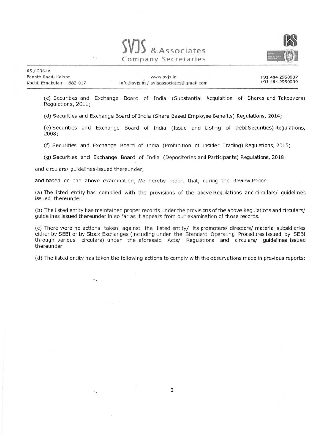



65 I 2364A Ponoth Road, Kaloor Kochi, Ernakulam - 682 017

+91 484 2950007 + 91 484 2950009

(c) Securities and Exchange Board of India (Substantial Acquisition of Shares and Takeovers) Regulations, 2011;

(d) Securities and Exchange Board of India (Share Based Employee Benefits) Regulations, 2014;

(e) Securities and Exchange Board of India (Issue and Listing of Debt Securities) Regulations, 2008;

(f) Securities and Exchange Board of India (Prohibition of Insider Trading) Regulations, 2015;

(g) Securities and Exchange Board of India (Depositories and Participants) Regulations, 2018;

and circulars/ guidelines·issued thereunder;

 $\ddot{v}$  ...

 $\cdot$  .

and based on the above examination, We hereby report that, during the Review Period:

(a) The listed entity has complied with the provisions of the above Regulations and circulars/ guidelines issued thereunder.

(b) The listed entity has maintained proper records under the provisions of the above Regulations and circulars/ guidelines issued thereunder in so far as it appears from our examination of those records.

(c) There were no actions taken against the listed entity/ its promoters/ directors/ material subsidiaries either by SEBI or by Stock Exchanges (including under the Standard Operating Procedures issued by SEBI through various circulars) under the aforesaid Acts/ Regulations and circulars/ guidelines issued thereunder.

(d) The listed entity has taken the following actions to comply with the observations made in previous reports :